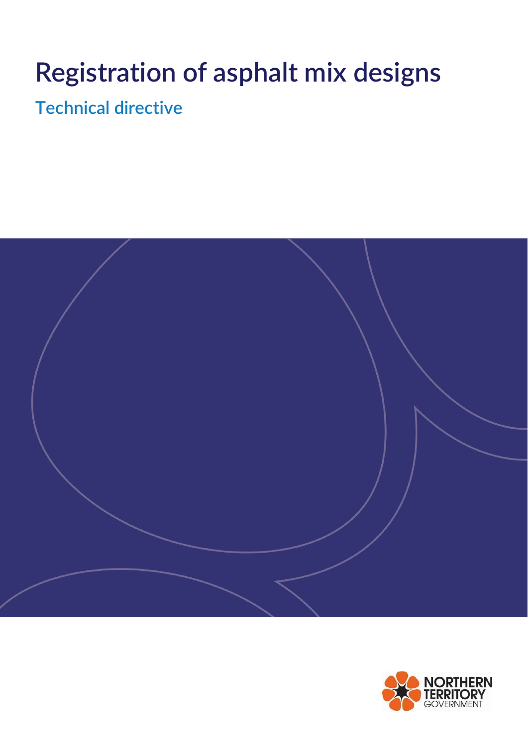# **Registration of asphalt mix designs**

**Technical directive**



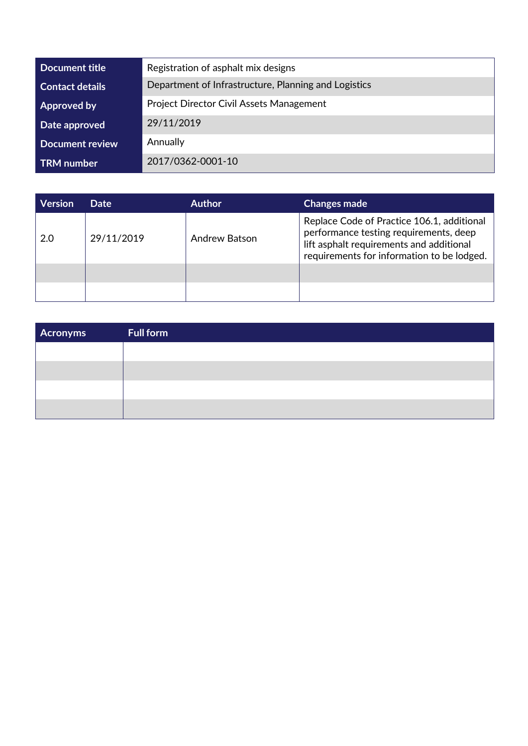| Document title         | Registration of asphalt mix designs                  |
|------------------------|------------------------------------------------------|
| <b>Contact details</b> | Department of Infrastructure, Planning and Logistics |
| Approved by            | <b>Project Director Civil Assets Management</b>      |
| Date approved          | 29/11/2019                                           |
| <b>Document review</b> | Annually                                             |
| <b>TRM</b> number      | 2017/0362-0001-10                                    |

| <b>Version</b> | Date       | <b>Author</b>        | <b>Changes made</b>                                                                                                                                                            |
|----------------|------------|----------------------|--------------------------------------------------------------------------------------------------------------------------------------------------------------------------------|
| 2.0            | 29/11/2019 | <b>Andrew Batson</b> | Replace Code of Practice 106.1, additional<br>performance testing requirements, deep<br>lift asphalt requirements and additional<br>requirements for information to be lodged. |
|                |            |                      |                                                                                                                                                                                |
|                |            |                      |                                                                                                                                                                                |

| <b>Acronyms</b> | <b>Full form</b> |
|-----------------|------------------|
|                 |                  |
|                 |                  |
|                 |                  |
|                 |                  |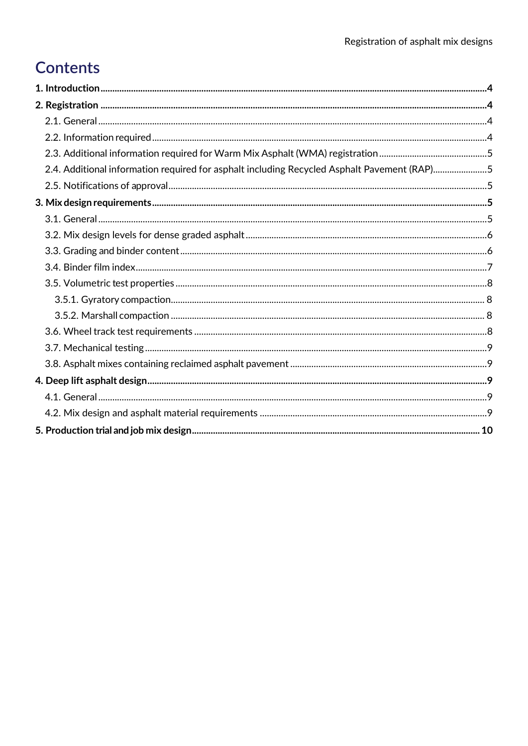# **Contents**

| 2.4. Additional information required for asphalt including Recycled Asphalt Pavement (RAP)5 |  |
|---------------------------------------------------------------------------------------------|--|
|                                                                                             |  |
|                                                                                             |  |
|                                                                                             |  |
|                                                                                             |  |
|                                                                                             |  |
|                                                                                             |  |
|                                                                                             |  |
|                                                                                             |  |
|                                                                                             |  |
|                                                                                             |  |
|                                                                                             |  |
|                                                                                             |  |
|                                                                                             |  |
|                                                                                             |  |
|                                                                                             |  |
|                                                                                             |  |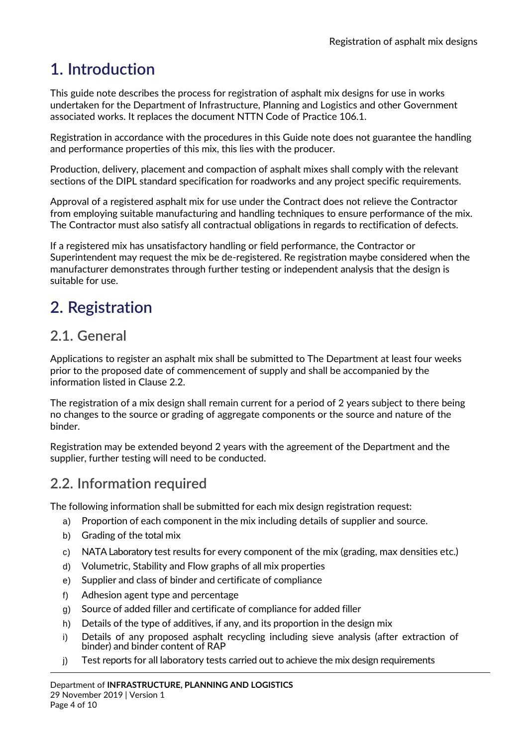# <span id="page-3-0"></span>**1. Introduction**

This guide note describes the process for registration of asphalt mix designs for use in works undertaken for the Department of Infrastructure, Planning and Logistics and other Government associated works. It replaces the document NTTN Code of Practice 106.1.

Registration in accordance with the procedures in this Guide note does not guarantee the handling and performance properties of this mix, this lies with the producer.

Production, delivery, placement and compaction of asphalt mixes shall comply with the relevant sections of the DIPL standard specification for roadworks and any project specific requirements.

Approval of a registered asphalt mix for use under the Contract does not relieve the Contractor from employing suitable manufacturing and handling techniques to ensure performance of the mix. The Contractor must also satisfy all contractual obligations in regards to rectification of defects.

If a registered mix has unsatisfactory handling or field performance, the Contractor or Superintendent may request the mix be de-registered. Re registration maybe considered when the manufacturer demonstrates through further testing or independent analysis that the design is suitable for use.

# <span id="page-3-1"></span>**2. Registration**

### <span id="page-3-2"></span>**2.1. General**

Applications to register an asphalt mix shall be submitted to The Department at least four weeks prior to the proposed date of commencement of supply and shall be accompanied by the information listed in Clause 2.2.

The registration of a mix design shall remain current for a period of 2 years subject to there being no changes to the source or grading of aggregate components or the source and nature of the binder.

Registration may be extended beyond 2 years with the agreement of the Department and the supplier, further testing will need to be conducted.

### <span id="page-3-3"></span>**2.2. Information required**

The following information shall be submitted for each mix design registration request:

- a) Proportion of each component in the mix including details of supplier and source.
- b) Grading of the total mix
- c) NATA Laboratory test results for every component of the mix (grading, max densities etc.)
- d) Volumetric, Stability and Flow graphs of all mix properties
- e) Supplier and class of binder and certificate of compliance
- f) Adhesion agent type and percentage
- g) Source of added filler and certificate of compliance for added filler
- h) Details of the type of additives, if any, and its proportion in the design mix
- i) Details of any proposed asphalt recycling including sieve analysis (after extraction of binder) and binder content of RAP
- j) Test reports for all laboratory tests carried out to achieve the mix design requirements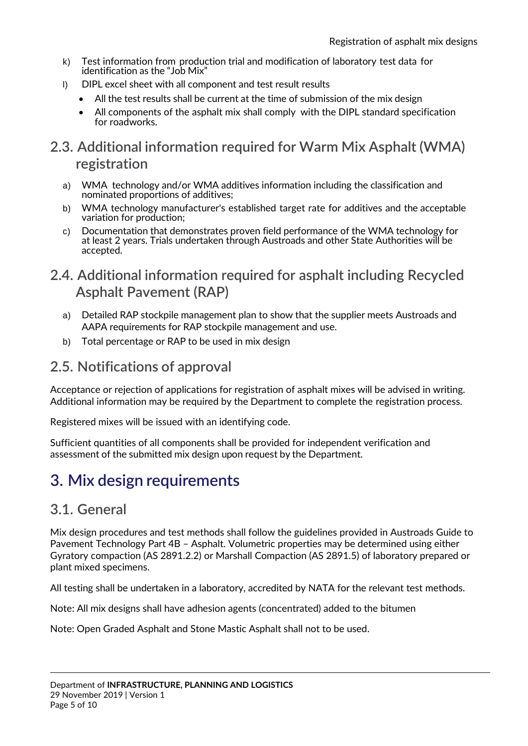- k) Test information from production trial and modification of laboratory test data for identification as the "Job Mix"
- l) DIPL excel sheet with all component and test result results
	- All the test results shall be current at the time of submission of the mix design
	- All components of the asphalt mix shall comply with the DIPL standard specification for roadworks.

### <span id="page-4-0"></span>**2.3. Additional information required for Warm Mix Asphalt (WMA) registration**

- a) WMA technology and/or WMA additives information including the classification and nominated proportions of additives;
- b) WMA technology manufacturer's established target rate for additives and the acceptable variation for production;
- c) Documentation that demonstrates proven field performance of the WMA technology for at least 2 years. Trials undertaken through Austroads and other State Authorities will be accepted.

### <span id="page-4-1"></span>**2.4. Additional information required for asphalt including Recycled Asphalt Pavement (RAP)**

- a) Detailed RAP stockpile management plan to show that the supplier meets Austroads and AAPA requirements for RAP stockpile management and use.
- b) Total percentage or RAP to be used in mix design

### <span id="page-4-2"></span>**2.5. Notifications of approval**

Acceptance or rejection of applications for registration of asphalt mixes will be advised in writing. Additional information may be required by the Department to complete the registration process.

Registered mixes will be issued with an identifying code.

Sufficient quantities of all components shall be provided for independent verification and assessment of the submitted mix design upon request by the Department.

# <span id="page-4-3"></span>**3. Mix design requirements**

### <span id="page-4-4"></span>**3.1. General**

Mix design procedures and test methods shall follow the guidelines provided in Austroads Guide to Pavement Technology Part 4B – Asphalt. Volumetric properties may be determined using either Gyratory compaction (AS 2891.2.2) or Marshall Compaction (AS 2891.5) of laboratory prepared or plant mixed specimens.

All testing shall be undertaken in a laboratory, accredited by NATA for the relevant test methods.

Note: All mix designs shall have adhesion agents (concentrated) added to the bitumen

Note: Open Graded Asphalt and Stone Mastic Asphalt shall not to be used.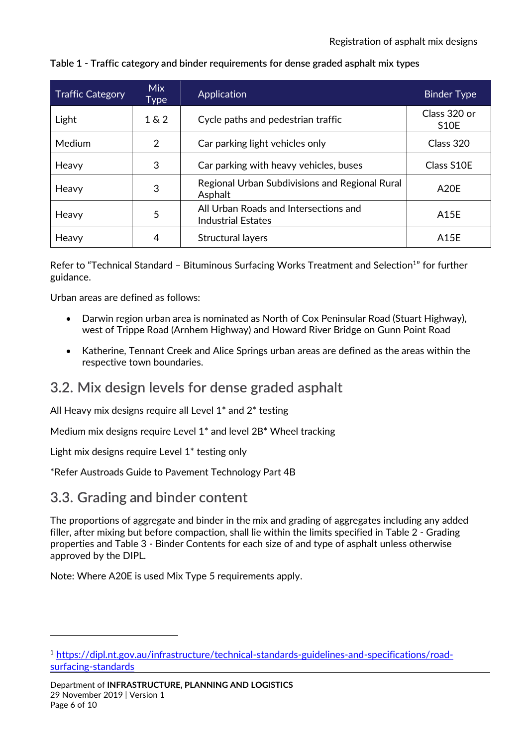| <b>Traffic Category</b> | <b>Mix</b><br>Type | Application                                                        | <b>Binder Type</b>                |
|-------------------------|--------------------|--------------------------------------------------------------------|-----------------------------------|
| Light                   | $1\&2$             | Cycle paths and pedestrian traffic                                 | Class 320 or<br>S <sub>1</sub> OE |
| Medium                  | 2                  | Car parking light vehicles only                                    | Class 320                         |
| Heavy                   | 3                  | Car parking with heavy vehicles, buses                             | Class S10E                        |
| Heavy                   | 3                  | Regional Urban Subdivisions and Regional Rural<br>Asphalt          | A20E                              |
| Heavy                   | 5                  | All Urban Roads and Intersections and<br><b>Industrial Estates</b> | A15E                              |
| Heavy                   | 4                  | <b>Structural layers</b>                                           | A15E                              |

#### **Table 1 - Traffic category and binder requirements for dense graded asphalt mix types**

Refer to "Technical Standard - Bituminous Surfacing Works Treatment and Selection<sup>1</sup>" for further guidance.

Urban areas are defined as follows:

- Darwin region urban area is nominated as North of Cox Peninsular Road (Stuart Highway), west of Trippe Road (Arnhem Highway) and Howard River Bridge on Gunn Point Road
- Katherine, Tennant Creek and Alice Springs urban areas are defined as the areas within the respective town boundaries.

### <span id="page-5-0"></span>**3.2. Mix design levels for dense graded asphalt**

All Heavy mix designs require all Level 1\* and 2\* testing

Medium mix designs require Level 1\* and level 2B\* Wheel tracking

Light mix designs require Level 1\* testing only

\*Refer Austroads Guide to Pavement Technology Part 4B

### <span id="page-5-1"></span>**3.3. Grading and binder content**

-

The proportions of aggregate and binder in the mix and grading of aggregates including any added filler, after mixing but before compaction, shall lie within the limits specified in Table 2 - Grading properties and Table 3 - Binder Contents for each size of and type of asphalt unless otherwise approved by the DIPL.

Note: Where A20E is used Mix Type 5 requirements apply.

<sup>1</sup> [https://dipl.nt.gov.au/infrastructure/technical-standards-guidelines-and-specifications/road](https://dipl.nt.gov.au/infrastructure/technical-standards-guidelines-and-specifications/road-surfacing-standards)[surfacing-standards](https://dipl.nt.gov.au/infrastructure/technical-standards-guidelines-and-specifications/road-surfacing-standards)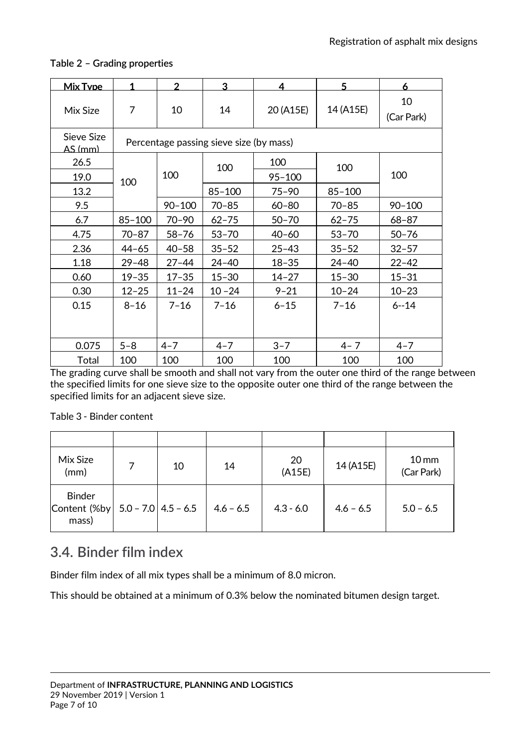| <b>Mix Type</b>              | 1          | $\overline{2}$ | 3                                       | 4          | 5          | 6                |
|------------------------------|------------|----------------|-----------------------------------------|------------|------------|------------------|
| Mix Size                     | 7          | 10             | 14                                      | 20 (A15E)  | 14 (A15E)  | 10<br>(Car Park) |
| Sieve Size<br><u>AS (mm)</u> |            |                | Percentage passing sieve size (by mass) |            |            |                  |
| 26.5                         |            |                | 100                                     | 100        | 100        |                  |
| 19.0                         | 100        | 100            |                                         | $95 - 100$ |            | 100              |
| 13.2                         |            |                | $85 - 100$                              | $75 - 90$  | $85 - 100$ |                  |
| 9.5                          |            | $90 - 100$     | $70 - 85$                               | $60 - 80$  | $70 - 85$  | $90 - 100$       |
| 6.7                          | $85 - 100$ | $70 - 90$      | $62 - 75$                               | $50 - 70$  | $62 - 75$  | $68 - 87$        |
| 4.75                         | $70 - 87$  | $58 - 76$      | $53 - 70$                               | $40 - 60$  | $53 - 70$  | $50 - 76$        |
| 2.36                         | $44 - 65$  | $40 - 58$      | $35 - 52$                               | $25 - 43$  | $35 - 52$  | $32 - 57$        |
| 1.18                         | $29 - 48$  | $27 - 44$      | $24 - 40$                               | $18 - 35$  | $24 - 40$  | $22 - 42$        |
| 0.60                         | $19 - 35$  | $17 - 35$      | $15 - 30$                               | $14 - 27$  | $15 - 30$  | $15 - 31$        |
| 0.30                         | $12 - 25$  | $11 - 24$      | $10 - 24$                               | $9 - 21$   | $10 - 24$  | $10 - 23$        |
| 0.15                         | $8 - 16$   | $7 - 16$       | $7 - 16$                                | $6 - 15$   | $7 - 16$   | $6 - 14$         |
| 0.075                        | $5 - 8$    | $4 - 7$        | $4 - 7$                                 | $3 - 7$    | $4 - 7$    | $4 - 7$          |
| Total                        | 100        | 100            | 100                                     | 100        | 100        | 100              |

#### **Table 2 – Grading properties**

The grading curve shall be smooth and shall not vary from the outer one third of the range between the specified limits for one sieve size to the opposite outer one third of the range between the specified limits for an adjacent sieve size.

Table 3 - Binder content

| Mix Size<br>(mm)                       | 10                    | 14          | 20<br>(A15E) | 14 (A15E)   | $10 \,\mathrm{mm}$<br>(Car Park) |
|----------------------------------------|-----------------------|-------------|--------------|-------------|----------------------------------|
| <b>Binder</b><br>Content (%by<br>mass) | $5.0 - 7.0$ 4.5 - 6.5 | $4.6 - 6.5$ | $4.3 - 6.0$  | $4.6 - 6.5$ | $5.0 - 6.5$                      |

### <span id="page-6-0"></span>**3.4. Binder film index**

Binder film index of all mix types shall be a minimum of 8.0 micron.

This should be obtained at a minimum of 0.3% below the nominated bitumen design target.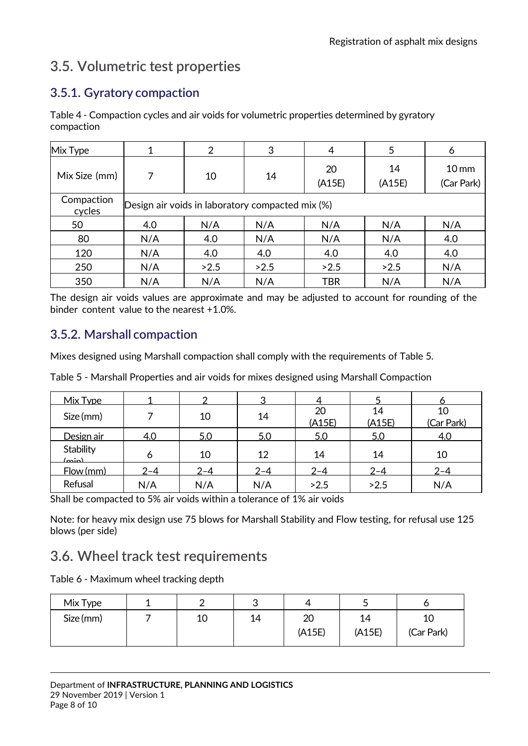### <span id="page-7-0"></span>**3.5. Volumetric test properties**

### <span id="page-7-1"></span>**3.5.1. Gyratory compaction**

Table 4 - Compaction cycles and air voids for volumetric properties determined by gyratory compaction

| Mix Type             | 1                                                | 2    | 3    | 4            | 5            | 6                              |
|----------------------|--------------------------------------------------|------|------|--------------|--------------|--------------------------------|
| Mix Size (mm)        | 7                                                | 10   | 14   | 20<br>(A15E) | 14<br>(A15E) | 10 <sub>mm</sub><br>(Car Park) |
| Compaction<br>cycles | Design air voids in laboratory compacted mix (%) |      |      |              |              |                                |
| 50                   | 4.0                                              | N/A  | N/A  | N/A          | N/A          | N/A                            |
| 80                   | N/A                                              | 4.0  | N/A  | N/A          | N/A          | 4.0                            |
| 120                  | N/A                                              | 4.0  | 4.0  | 4.0          | 4.0          | 4.0                            |
| 250                  | N/A                                              | >2.5 | >2.5 | >2.5         | >2.5         | N/A                            |
| 350                  | N/A                                              | N/A  | N/A  | <b>TBR</b>   | N/A          | N/A                            |

The design air voids values are approximate and may be adjusted to account for rounding of the binder content value to the nearest +1.0%.

#### <span id="page-7-2"></span>**3.5.2. Marshall compaction**

Mixes designed using Marshall compaction shall comply with the requirements of Table 5.

Table 5 - Marshall Properties and air voids for mixes designed using Marshall Compaction

| Mix Type                     |         | ◠       | 3       |              |              |                  |
|------------------------------|---------|---------|---------|--------------|--------------|------------------|
| Size (mm)                    |         | 10      | 14      | 20<br>(A15E) | 14<br>(A15E) | 10<br>(Car Park) |
| Design air                   | 4.0     | 5.0     | 5.0     | 5.0          | 5.0          | 4.0              |
| <b>Stability</b><br>$(\min)$ |         | 10      | 12      | 14           | 14           | 10               |
| Flow (mm)                    | $2 - 4$ | $2 - 4$ | $2 - 4$ | $2 - 4$      | $2 - 4$      | $2 - 4$          |
| Refusal                      | N/A     | N/A     | N/A     | >2.5         | >2.5         | N/A              |

Shall be compacted to 5% air voids within a tolerance of 1% air voids

Note: for heavy mix design use 75 blows for Marshall Stability and Flow testing, for refusal use 125 blows (per side)

### <span id="page-7-3"></span>**3.6. Wheel track test requirements**

Table 6 - Maximum wheel tracking depth

| Mix Type  |    | ີ  | ◢            |              |            |
|-----------|----|----|--------------|--------------|------------|
| Size (mm) | 10 | 14 | 20<br>(A15E) | 14<br>(A15E) | (Car Park) |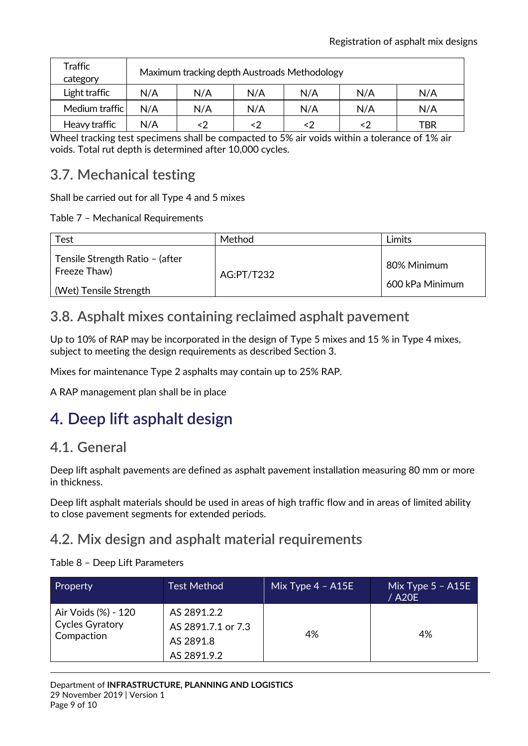| Traffic<br>category | Maximum tracking depth Austroads Methodology |     |     |     |     |     |
|---------------------|----------------------------------------------|-----|-----|-----|-----|-----|
| Light traffic       | N/A                                          | N/A | N/A | N/A | N/A | N/A |
| Medium traffic      | N/A                                          | N/A | N/A | N/A | N/A | N/A |
| Heavy traffic       | N/A                                          |     |     | <2  |     | TBR |

Wheel tracking test specimens shall be compacted to 5% air voids within a tolerance of 1% air voids. Total rut depth is determined after 10,000 cycles.

### <span id="page-8-0"></span>**3.7. Mechanical testing**

Shall be carried out for all Type 4 and 5 mixes

Table 7 – Mechanical Requirements

| Test                                            | Method     | Limits          |
|-------------------------------------------------|------------|-----------------|
| Tensile Strength Ratio - (after<br>Freeze Thaw) | AG:PT/T232 | 80% Minimum     |
| (Wet) Tensile Strength                          |            | 600 kPa Minimum |

### <span id="page-8-1"></span>**3.8. Asphalt mixes containing reclaimed asphalt pavement**

Up to 10% of RAP may be incorporated in the design of Type 5 mixes and 15 % in Type 4 mixes, subject to meeting the design requirements as described Section 3.

Mixes for maintenance Type 2 asphalts may contain up to 25% RAP.

A RAP management plan shall be in place

# <span id="page-8-2"></span>**4. Deep lift asphalt design**

### <span id="page-8-3"></span>**4.1. General**

Deep lift asphalt pavements are defined as asphalt pavement installation measuring 80 mm or more in thickness.

Deep lift asphalt materials should be used in areas of high traffic flow and in areas of limited ability to close pavement segments for extended periods.

### <span id="page-8-4"></span>**4.2. Mix design and asphalt material requirements**

Table 8 – Deep Lift Parameters

| Property                                                    | <b>Test Method</b>                                            | Mix Type $4 - A15E$ | Mix Type 5 – A15E '<br>/ A20E |
|-------------------------------------------------------------|---------------------------------------------------------------|---------------------|-------------------------------|
| Air Voids (%) - 120<br><b>Cycles Gyratory</b><br>Compaction | AS 2891.2.2<br>AS 2891.7.1 or 7.3<br>AS 2891.8<br>AS 2891.9.2 | 4%                  | 4%                            |